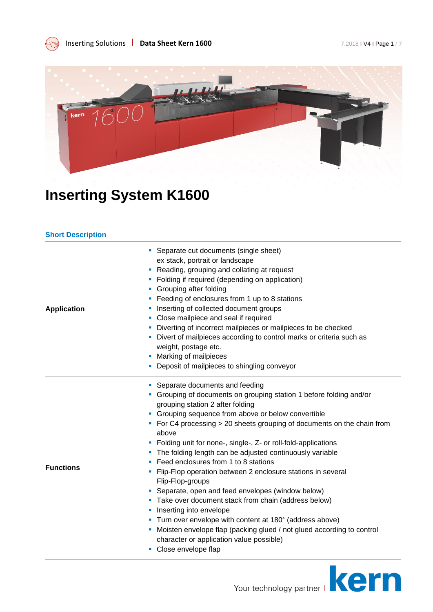Inserting Solutions **CO Data Sheet Kern 1600** *Page 1/7 Page 1/7 Page 1/7 Page 1/7* 



### **Inserting System K1600**

#### **Short Description**

|                    | Separate cut documents (single sheet)                                                |
|--------------------|--------------------------------------------------------------------------------------|
| <b>Application</b> | ex stack, portrait or landscape                                                      |
|                    | Reading, grouping and collating at request                                           |
|                    | • Folding if required (depending on application)                                     |
|                    | Grouping after folding<br>ш                                                          |
|                    | • Feeding of enclosures from 1 up to 8 stations                                      |
|                    | Inserting of collected document groups<br>ш                                          |
|                    | • Close mailpiece and seal if required                                               |
|                    | Diverting of incorrect mailpieces or mailpieces to be checked<br>ш                   |
|                    | Divert of mailpieces according to control marks or criteria such as<br>ш             |
|                    | weight, postage etc.                                                                 |
|                    | Marking of mailpieces                                                                |
|                    | • Deposit of mailpieces to shingling conveyor                                        |
|                    | • Separate documents and feeding                                                     |
|                    | • Grouping of documents on grouping station 1 before folding and/or                  |
|                    | grouping station 2 after folding                                                     |
|                    | • Grouping sequence from above or below convertible                                  |
|                    | • For C4 processing > 20 sheets grouping of documents on the chain from<br>above     |
|                    | Folding unit for none-, single-, Z- or roll-fold-applications                        |
|                    | • The folding length can be adjusted continuously variable                           |
|                    | Feed enclosures from 1 to 8 stations                                                 |
| <b>Functions</b>   | Flip-Flop operation between 2 enclosure stations in several<br>ш<br>Flip-Flop-groups |
|                    | Separate, open and feed envelopes (window below)                                     |
|                    | • Take over document stack from chain (address below)                                |
|                    | Inserting into envelope<br>ш                                                         |
|                    | • Turn over envelope with content at 180° (address above)                            |
|                    | Moisten envelope flap (packing glued / not glued according to control<br>ш           |
|                    | character or application value possible)                                             |
|                    | Close envelope flap<br>ш                                                             |
|                    |                                                                                      |

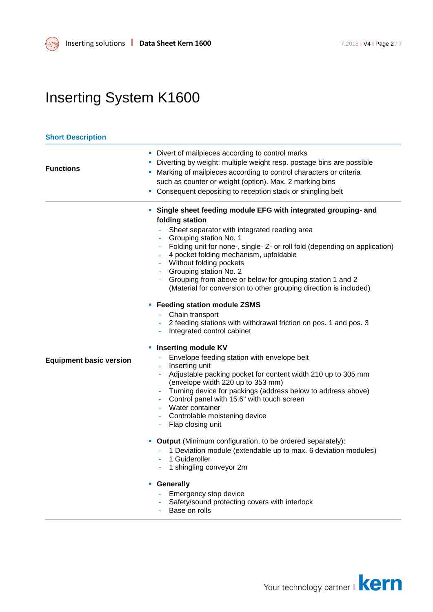#### **Short Description Functions** Divert of mailpieces according to control marks Diverting by weight: multiple weight resp. postage bins are possible **Marking of mailpieces according to control characters or criteria** such as counter or weight (option). Max. 2 marking bins **Consequent depositing to reception stack or shingling belt Equipment basic version Single sheet feeding module EFG with integrated grouping- and folding station** Sheet separator with integrated reading area Grouping station No. 1 - Folding unit for none-, single- Z- or roll fold (depending on application) - 4 pocket folding mechanism, upfoldable Without folding pockets Grouping station No. 2 - Grouping from above or below for grouping station 1 and 2 (Material for conversion to other grouping direction is included) **Feeding station module ZSMS** - Chain transport 2 feeding stations with withdrawal friction on pos. 1 and pos. 3 - Integrated control cabinet **Inserting module KV** Envelope feeding station with envelope belt Inserting unit Adjustable packing pocket for content width 210 up to 305 mm (envelope width 220 up to 353 mm) Turning device for packings (address below to address above) Control panel with 15.6" with touch screen Water container Controlable moistening device Flap closing unit **Output** (Minimum configuration, to be ordered separately): - 1 Deviation module (extendable up to max. 6 deviation modules) 1 Guideroller - 1 shingling conveyor 2m **Generally** - Emergency stop device Safety/sound protecting covers with interlock Base on rolls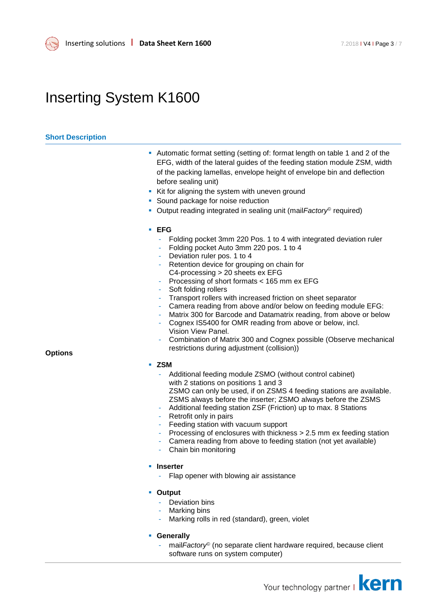

#### **Short Description**

**Options**

- Automatic format setting (setting of: format length on table 1 and 2 of the EFG, width of the lateral guides of the feeding station module ZSM, width of the packing lamellas, envelope height of envelope bin and deflection before sealing unit)
- Kit for aligning the system with uneven ground
- **Sound package for noise reduction**
- Output reading integrated in sealing unit (mail Factory<sup>©</sup> required)

#### **EFG**

- Folding pocket 3mm 220 Pos. 1 to 4 with integrated deviation ruler
- Folding pocket Auto 3mm 220 pos. 1 to 4
- Deviation ruler pos. 1 to 4
- Retention device for grouping on chain for C4-processing > 20 sheets ex EFG
- Processing of short formats < 165 mm ex EFG
- Soft folding rollers
- Transport rollers with increased friction on sheet separator
- Camera reading from above and/or below on feeding module EFG:
- Matrix 300 for Barcode and Datamatrix reading, from above or below
- Cognex IS5400 for OMR reading from above or below, incl. Vision View Panel.
- Combination of Matrix 300 and Cognex possible (Observe mechanical restrictions during adjustment (collision))

#### **ZSM**

- Additional feeding module ZSMO (without control cabinet) with 2 stations on positions 1 and 3 ZSMO can only be used, if on ZSMS 4 feeding stations are available. ZSMS always before the inserter; ZSMO always before the ZSMS
	- Additional feeding station ZSF (Friction) up to max. 8 Stations Retrofit only in pairs
- Feeding station with vacuum support
- Processing of enclosures with thickness > 2.5 mm ex feeding station
- Camera reading from above to feeding station (not yet available)
- Chain bin monitoring
- **Inserter**
	- Flap opener with blowing air assistance
- **Output**
	- Deviation bins
	- Marking bins
	- Marking rolls in red (standard), green, violet
- **Generally**
	- mail*Factory*<sup>©</sup> (no separate client hardware required, because client software runs on system computer)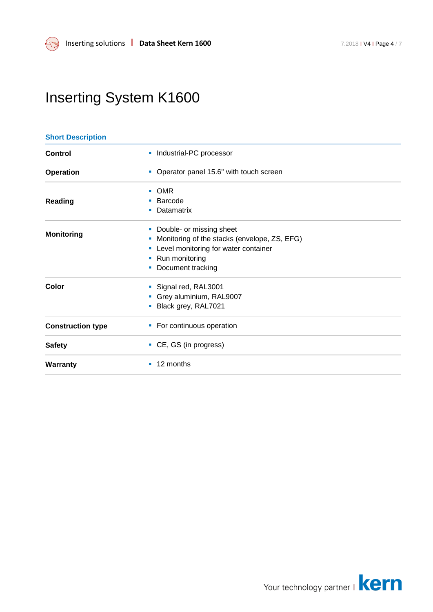| <b>Short Description</b> |                                                   |  |  |
|--------------------------|---------------------------------------------------|--|--|
| Control                  | Industrial-PC processor<br>ш                      |  |  |
| <b>Operation</b>         | Operator panel 15.6" with touch screen            |  |  |
|                          | <b>OMR</b><br>a.                                  |  |  |
| <b>Reading</b>           | Barcode                                           |  |  |
|                          | Datamatrix<br>ш                                   |  |  |
| <b>Monitoring</b>        | Double- or missing sheet                          |  |  |
|                          | Monitoring of the stacks (envelope, ZS, EFG)<br>ш |  |  |
|                          | Level monitoring for water container              |  |  |
|                          | Run monitoring<br>ш                               |  |  |
|                          | Document tracking                                 |  |  |
| Color                    | Signal red, RAL3001                               |  |  |
|                          | Grey aluminium, RAL9007                           |  |  |
|                          | Black grey, RAL7021                               |  |  |
| <b>Construction type</b> | • For continuous operation                        |  |  |
| <b>Safety</b>            | • CE, GS (in progress)                            |  |  |
| <b>Warranty</b>          | 12 months<br>ш                                    |  |  |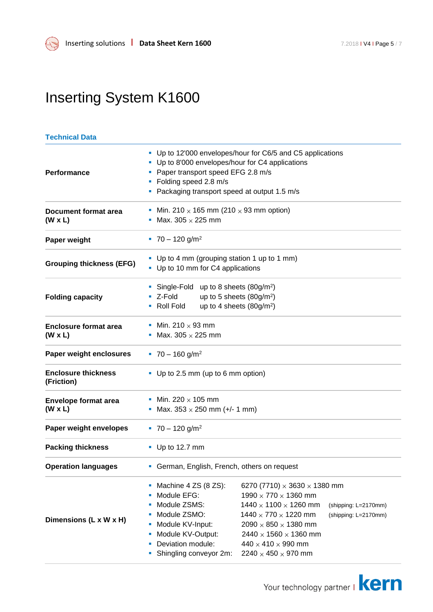### **Technical Data**

| Performance                                    | • Up to 12'000 envelopes/hour for C6/5 and C5 applications<br>• Up to 8'000 envelopes/hour for C4 applications<br>• Paper transport speed EFG 2.8 m/s<br>• Folding speed 2.8 m/s<br>• Packaging transport speed at output 1.5 m/s |                                                                                                                                                                                                                                                                                                               |                                              |
|------------------------------------------------|-----------------------------------------------------------------------------------------------------------------------------------------------------------------------------------------------------------------------------------|---------------------------------------------------------------------------------------------------------------------------------------------------------------------------------------------------------------------------------------------------------------------------------------------------------------|----------------------------------------------|
| Document format area<br>$(W \times L)$         | • Min. 210 $\times$ 165 mm (210 $\times$ 93 mm option)<br>• Max. 305 $\times$ 225 mm                                                                                                                                              |                                                                                                                                                                                                                                                                                                               |                                              |
| Paper weight                                   | $\sqrt{70} - 120$ g/m <sup>2</sup>                                                                                                                                                                                                |                                                                                                                                                                                                                                                                                                               |                                              |
| <b>Grouping thickness (EFG)</b>                | • Up to 4 mm (grouping station 1 up to 1 mm)<br>• Up to 10 mm for C4 applications                                                                                                                                                 |                                                                                                                                                                                                                                                                                                               |                                              |
| <b>Folding capacity</b>                        | Single-Fold up to 8 sheets $(80g/m^2)$<br>up to 5 sheets (80g/m <sup>2</sup> )<br>■ Z-Fold<br>up to 4 sheets $(80g/m2)$<br>• Roll Fold                                                                                            |                                                                                                                                                                                                                                                                                                               |                                              |
| <b>Enclosure format area</b><br>$(W \times L)$ | • Min. 210 $\times$ 93 mm<br>• Max. 305 $\times$ 225 mm                                                                                                                                                                           |                                                                                                                                                                                                                                                                                                               |                                              |
| Paper weight enclosures                        | $\blacksquare$ 70 - 160 g/m <sup>2</sup>                                                                                                                                                                                          |                                                                                                                                                                                                                                                                                                               |                                              |
| <b>Enclosure thickness</b><br>(Friction)       | • Up to 2.5 mm (up to 6 mm option)                                                                                                                                                                                                |                                                                                                                                                                                                                                                                                                               |                                              |
| <b>Envelope format area</b><br>$(W \times L)$  | • Min. 220 $\times$ 105 mm<br>• Max. $353 \times 250$ mm (+/- 1 mm)                                                                                                                                                               |                                                                                                                                                                                                                                                                                                               |                                              |
| Paper weight envelopes                         | $\blacksquare$ 70 – 120 g/m <sup>2</sup>                                                                                                                                                                                          |                                                                                                                                                                                                                                                                                                               |                                              |
| <b>Packing thickness</b>                       | $\blacksquare$ Up to 12.7 mm                                                                                                                                                                                                      |                                                                                                                                                                                                                                                                                                               |                                              |
| <b>Operation languages</b>                     | • German, English, French, others on request                                                                                                                                                                                      |                                                                                                                                                                                                                                                                                                               |                                              |
| Dimensions (L x W x H)                         | Machine 4 ZS (8 ZS):<br>Module EFG:<br>Module ZSMS:<br>Module ZSMO:<br>Module KV-Input:<br>Module KV-Output:<br>Deviation module:<br>Shingling conveyor 2m:                                                                       | 6270 (7710) $\times$ 3630 $\times$ 1380 mm<br>1990 $\times$ 770 $\times$ 1360 mm<br>$1440 \times 1100 \times 1260$ mm<br>1440 $\times$ 770 $\times$ 1220 mm<br>$2090 \times 850 \times 1380$ mm<br>2440 $\times$ 1560 $\times$ 1360 mm<br>$440 \times 410 \times 990$ mm<br>2240 $\times$ 450 $\times$ 970 mm | (shipping: L=2170mm)<br>(shipping: L=2170mm) |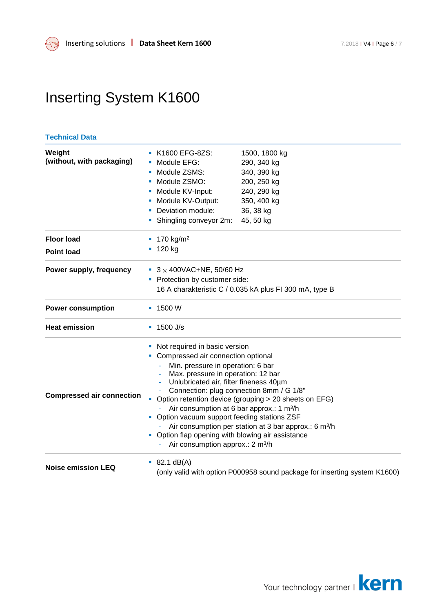#### **Technical Data**

| Weight<br>(without, with packaging) | K1600 EFG-8ZS:<br>Module EFG:<br>Module ZSMS:<br>Module ZSMO:<br>Module KV-Input:<br>ш<br>Module KV-Output:<br>• Deviation module:<br>Shingling conveyor 2m:                                                                                                                                                                                                                                                                                                                                                                                                                                          | 1500, 1800 kg<br>290, 340 kg<br>340, 390 kg<br>200, 250 kg<br>240, 290 kg<br>350, 400 kg<br>36, 38 kg<br>45, 50 kg |  |
|-------------------------------------|-------------------------------------------------------------------------------------------------------------------------------------------------------------------------------------------------------------------------------------------------------------------------------------------------------------------------------------------------------------------------------------------------------------------------------------------------------------------------------------------------------------------------------------------------------------------------------------------------------|--------------------------------------------------------------------------------------------------------------------|--|
| <b>Floor load</b>                   | 170 kg/m <sup>2</sup>                                                                                                                                                                                                                                                                                                                                                                                                                                                                                                                                                                                 |                                                                                                                    |  |
| <b>Point load</b>                   | 120 kg                                                                                                                                                                                                                                                                                                                                                                                                                                                                                                                                                                                                |                                                                                                                    |  |
| Power supply, frequency             | $\bullet$ 3 × 400VAC+NE, 50/60 Hz<br>• Protection by customer side:<br>16 A charakteristic C / 0.035 kA plus FI 300 mA, type B                                                                                                                                                                                                                                                                                                                                                                                                                                                                        |                                                                                                                    |  |
| <b>Power consumption</b>            | $-1500W$                                                                                                                                                                                                                                                                                                                                                                                                                                                                                                                                                                                              |                                                                                                                    |  |
| <b>Heat emission</b>                | $\blacksquare$ 1500 J/s                                                                                                                                                                                                                                                                                                                                                                                                                                                                                                                                                                               |                                                                                                                    |  |
| <b>Compressed air connection</b>    | Not required in basic version<br>Compressed air connection optional<br>Min. pressure in operation: 6 bar<br>Max. pressure in operation: 12 bar<br>Unlubricated air, filter fineness 40um<br>Connection: plug connection 8mm / G 1/8"<br>Option retention device (grouping > 20 sheets on EFG)<br>$\blacksquare$<br>Air consumption at 6 bar approx.: 1 m <sup>3</sup> /h<br>• Option vacuum support feeding stations ZSF<br>Air consumption per station at 3 bar approx.: 6 m <sup>3</sup> /h<br>Option flap opening with blowing air assistance<br>ш<br>Air consumption approx.: 2 m <sup>3</sup> /h |                                                                                                                    |  |
| <b>Noise emission LEQ</b>           | 82.1 dB(A)<br>ш<br>(only valid with option P000958 sound package for inserting system K1600)                                                                                                                                                                                                                                                                                                                                                                                                                                                                                                          |                                                                                                                    |  |